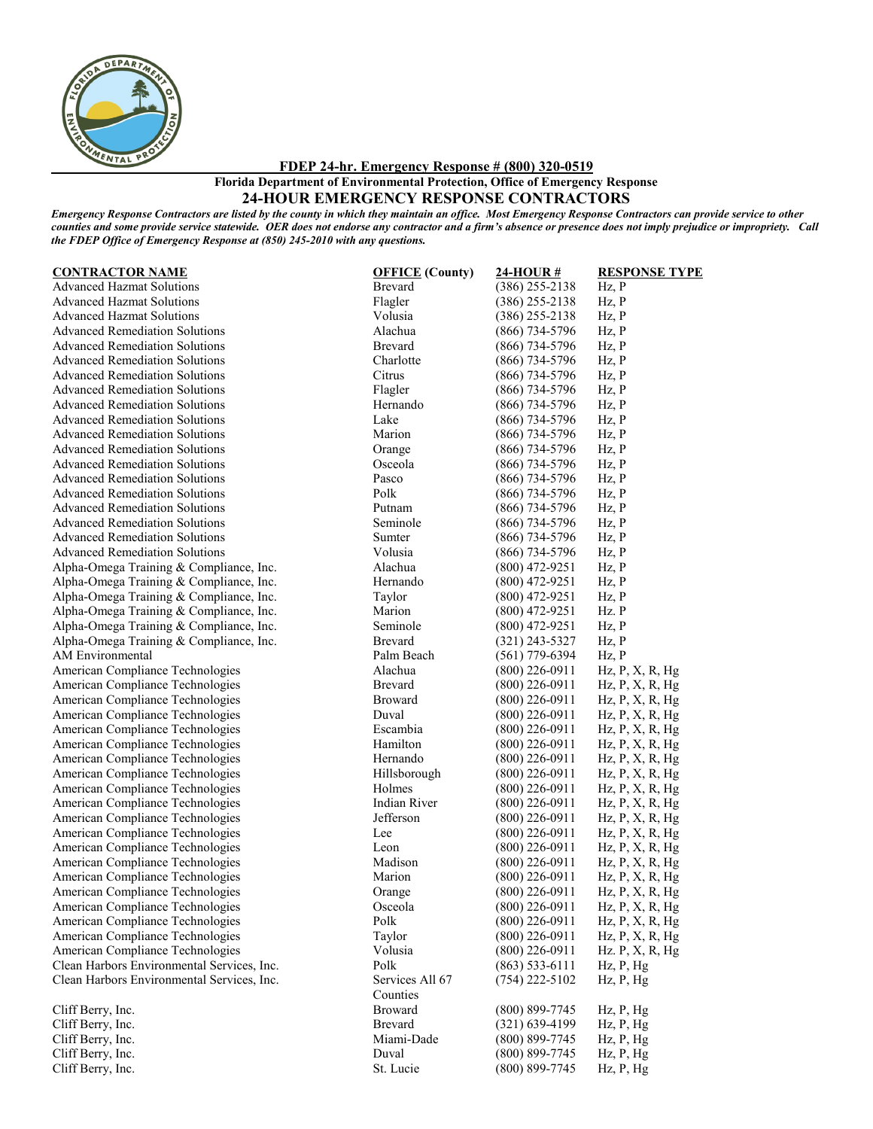

**FDEP 24-hr. Emergency Response # (800) 320-0519**

**Florida Department of Environmental Protection, Office of Emergency Response**

## **24-HOUR EMERGENCY RESPONSE CONTRACTORS**

*Emergency Response Contractors are listed by the county in which they maintain an office. Most Emergency Response Contractors can provide service to other counties and some provide service statewide. OER does not endorse any contractor and a firm's absence or presence does not imply prejudice or impropriety. Call the FDEP Office of Emergency Response at (850) 245-2010 with any questions.*

| <b>CONTRACTOR NAME</b>                     |
|--------------------------------------------|
| <b>Advanced Hazmat Solutions</b>           |
| <b>Advanced Hazmat Solutions</b>           |
| <b>Advanced Hazmat Solutions</b>           |
| <b>Advanced Remediation Solutions</b>      |
| <b>Advanced Remediation Solutions</b>      |
| <b>Advanced Remediation Solutions</b>      |
| <b>Advanced Remediation Solutions</b>      |
| <b>Advanced Remediation Solutions</b>      |
| <b>Advanced Remediation Solutions</b>      |
| <b>Advanced Remediation Solutions</b>      |
| <b>Advanced Remediation Solutions</b>      |
| <b>Advanced Remediation Solutions</b>      |
| <b>Advanced Remediation Solutions</b>      |
| <b>Advanced Remediation Solutions</b>      |
| <b>Advanced Remediation Solutions</b>      |
| <b>Advanced Remediation Solutions</b>      |
| <b>Advanced Remediation Solutions</b>      |
| <b>Advanced Remediation Solutions</b>      |
| <b>Advanced Remediation Solutions</b>      |
| Alpha-Omega Training & Compliance, Inc.    |
| Alpha-Omega Training & Compliance, Inc.    |
| Alpha-Omega Training & Compliance, Inc.    |
| Alpha-Omega Training & Compliance, Inc.    |
| Alpha-Omega Training & Compliance, Inc.    |
| Alpha-Omega Training & Compliance, Inc.    |
| <b>AM Environmental</b>                    |
| American Compliance Technologies           |
| American Compliance Technologies           |
| American Compliance Technologies           |
| American Compliance Technologies           |
| American Compliance Technologies           |
| American Compliance Technologies           |
| American Compliance Technologies           |
| American Compliance Technologies           |
| American Compliance Technologies           |
| American Compliance Technologies           |
| American Compliance Technologies           |
| American Compliance Technologies           |
| American Compliance Technologies           |
| American Compliance Technologies           |
| American Compliance Technologies           |
| American Compliance Technologies           |
| American Compliance Technologies           |
|                                            |
| American Compliance Technologies           |
| American Compliance Technologies           |
| American Compliance Technologies           |
| Clean Harbors Environmental Services, Inc. |
| Clean Harbors Environmental Services, Inc. |
|                                            |
| Cliff Berry, Inc.                          |
| Cliff Berry, Inc.<br>Cliff Berry Inc.      |
|                                            |

Flagler  $(386) 255-2138$  Hz, P Volusia (386) 255-2138 Hz, P Alachua (866) 734-5796 Hz, P Brevard (866) 734-5796 Hz, P Charlotte (866) 734-5796 Hz, P Citrus (866) 734-5796 Hz, P Flagler (866) 734-5796 Hz, P Hernando (866) 734-5796 Hz, P Lake (866) 734-5796 Hz, P Marion (866) 734-5796 Hz, P Orange (866) 734-5796 Hz, P Osceola (866) 734-5796 Hz, P Pasco (866) 734-5796 Hz, P<br>Polk (866) 734-5796 Hz, P Polk (866) 734-5796 Hz, P<br>Putnam (866) 734-5796 Hz, P (866) 734-5796 Seminole (866) 734-5796 Hz, P Sumter (866) 734-5796 Hz, P Volusia (866) 734-5796 Hz, P Alachua (800) 472-9251 Hz, P Hernando (800) 472-9251 Hz, P<br>
Taylor (800) 472-9251 Hz, P  $(800)$  472-9251 Marion (800) 472-9251 Hz. P Seminole (800) 472-9251 Hz, P<br>Brevard (321) 243-5327 Hz, P Brevard (321) 243-5327 Hz, P<br>Palm Beach (561) 779-6394 Hz, P Palm Beach (561) 779-6394 Hz, P<br>Alachua (800) 226-0911 Hz, P  $(800)$  226-0911 Hz, P, X, R, Hg Brevard (800) 226-0911 Hz, P, X, R, Hg Broward (800) 226-0911 Hz, P, X, R, Hg Duval (800) 226-0911 Hz, P, X, R, Hg Escambia (800) 226-0911 Hz, P, X, R, Hg Hamilton (800) 226-0911 Hz, P, X, R, Hg Hernando (800) 226-0911 Hz, P, X, R, Hg Hillsborough (800) 226-0911 Hz, P, X, R, Hg Holmes (800) 226-0911 Hz, P, X, R, Hg<br>Indian River (800) 226-0911 Hz, P, X, R, Hg (800) 226-0911 Hz, P, X, R, Hg Jefferson (800) 226-0911 Hz, P, X, R, Hg Lee (800) 226-0911 Hz, P, X, R, Hg Leon (800) 226-0911 Hz, P, X, R, Hg<br>Madison (800) 226-0911 Hz, P, X, R, Hg Madison (800) 226-0911 Hz, P, X, R, Hg<br>Marion (800) 226-0911 Hz, P, X, R, Hg  $Hz$ , P, X, R, Hg Orange (800) 226-0911 Hz, P, X, R, Hg Osceola  $(800) 226-0911$  Hz, P, X, R, Hg Polk  $(800) 226-0911$  Hz, P, X, R, Hg Taylor  $(800)$  226-0911 Hz, P, X, R, Hg Volusia (800) 226-0911 Hz. P, X, R, Hg<br>Polk (863) 533-6111 Hz. P, Hg  $(863)$  533-6111 Hz, P, Hg Services All 67 Counties<br>Broward (754) 222-5102 Hz, P, Hg (800) 899-7745 Hz, P, Hg Brevard (321) 639-4199 Hz, P, Hg Cliff Berry, Inc. Miami-Dade (800) 899-7745 Hz, P, Hg Cliff Berry, Inc. Duval (800) 899-7745 Hz, P, Hg Cliff Berry, Inc. Cliff Berry, Inc. St. Lucie (800) 899-7745 Hz, P, Hg

**CONTRACTOR NAME OFFICE (County) 24-HOUR # RESPONSE TYPE**

Brevard (386) 255-2138 Hz, P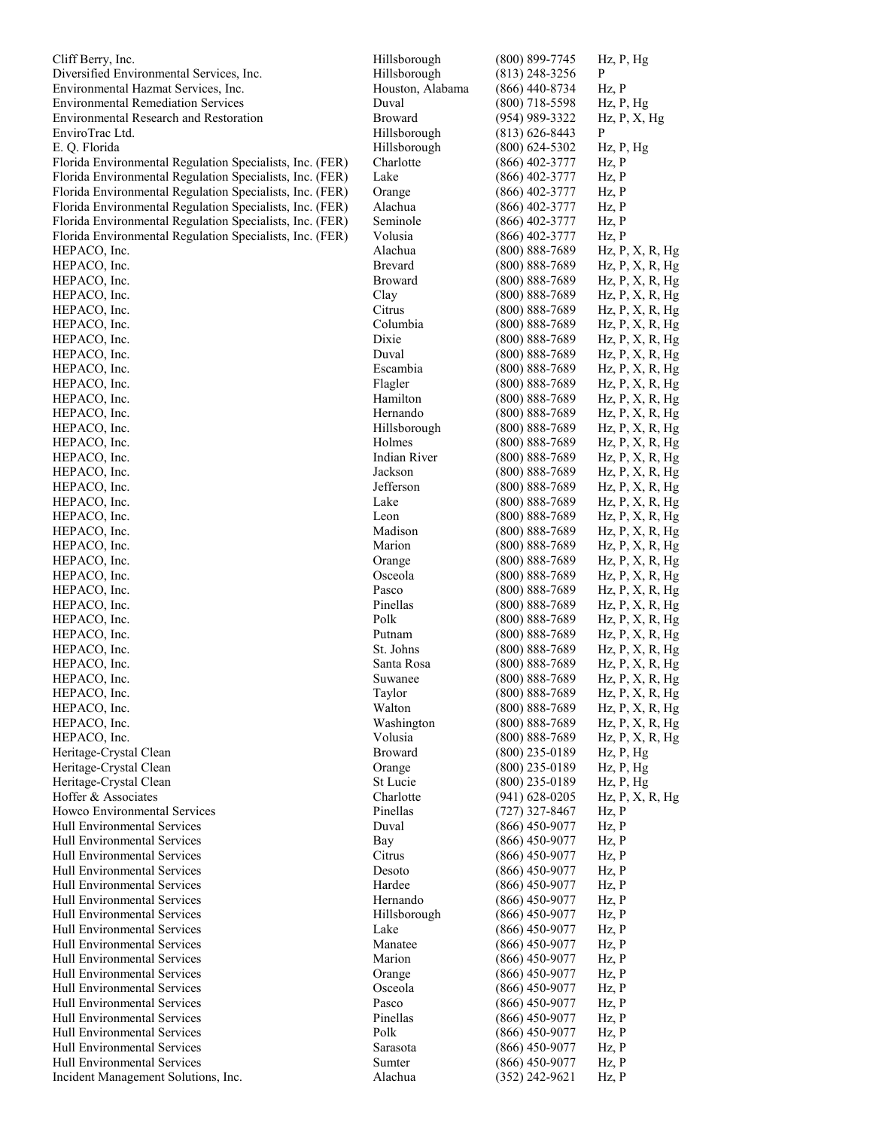| Cliff Berry, Inc.                                        | Hillsborough     | $(800)$ 899-7745                         | $Hz$ , $P$ , $Hg$             |
|----------------------------------------------------------|------------------|------------------------------------------|-------------------------------|
| Diversified Environmental Services, Inc.                 | Hillsborough     | $(813)$ 248-3256                         | $\mathbf{P}$                  |
| Environmental Hazmat Services, Inc.                      | Houston, Alabama | $(866)$ 440-8734                         | Hz, P                         |
| <b>Environmental Remediation Services</b>                | Duval            | $(800)$ 718-5598                         | $Hz$ , $P$ , $Hg$             |
| Environmental Research and Restoration                   | Broward          | $(954)$ 989-3322                         | Hz, P, X, Hg                  |
| EnviroTrac Ltd.                                          | Hillsborough     | $(813) 626 - 8443$                       | P                             |
| E. Q. Florida                                            | Hillsborough     | $(800)$ 624-5302                         | $Hz$ , $P$ , $Hg$             |
| Florida Environmental Regulation Specialists, Inc. (FER) | Charlotte        | $(866)$ 402-3777                         | Hz, P                         |
| Florida Environmental Regulation Specialists, Inc. (FER) | Lake             | $(866)$ 402-3777                         | Hz, P                         |
| Florida Environmental Regulation Specialists, Inc. (FER) | Orange           | $(866)$ 402-3777                         | Hz, P                         |
| Florida Environmental Regulation Specialists, Inc. (FER) | Alachua          | $(866)$ 402-3777                         | Hz, P                         |
| Florida Environmental Regulation Specialists, Inc. (FER) | Seminole         | $(866)$ 402-3777                         | Hz, P                         |
| Florida Environmental Regulation Specialists, Inc. (FER) | Volusia          | $(866)$ 402-3777                         | Hz, P                         |
| HEPACO, Inc.                                             | Alachua          | $(800) 888 - 7689$                       | $Hz$ , $P$ , $X$ , $R$ , $Hg$ |
| HEPACO, Inc.                                             | Brevard          | $(800) 888 - 7689$                       | $Hz$ , $P$ , $X$ , $R$ , $Hg$ |
| HEPACO, Inc.                                             | <b>Broward</b>   | $(800) 888 - 7689$                       | $Hz$ , $P$ , $X$ , $R$ , $Hg$ |
| HEPACO, Inc.                                             | Clay             | $(800) 888 - 7689$                       | $Hz$ , $P$ , $X$ , $R$ , $Hg$ |
| HEPACO, Inc.                                             | Citrus           | $(800) 888 - 7689$                       | $Hz$ , $P$ , $X$ , $R$ , $Hg$ |
| HEPACO, Inc.                                             | Columbia         | $(800) 888 - 7689$                       | $Hz$ , $P$ , $X$ , $R$ , $Hg$ |
| HEPACO, Inc.                                             | Dixie            |                                          |                               |
|                                                          | Duval            | $(800) 888 - 7689$<br>$(800) 888 - 7689$ | $Hz$ , $P$ , $X$ , $R$ , $Hg$ |
| HEPACO, Inc.                                             | Escambia         |                                          | $Hz$ , $P$ , $X$ , $R$ , $Hg$ |
| HEPACO, Inc.                                             |                  | $(800) 888 - 7689$                       | $Hz$ , $P$ , $X$ , $R$ , $Hg$ |
| HEPACO, Inc.                                             | Flagler          | $(800) 888 - 7689$                       | $Hz$ , $P$ , $X$ , $R$ , $Hg$ |
| HEPACO, Inc.                                             | Hamilton         | $(800) 888 - 7689$                       | $Hz$ , $P$ , $X$ , $R$ , $Hg$ |
| HEPACO, Inc.                                             | Hernando         | $(800) 888 - 7689$                       | $Hz$ , $P$ , $X$ , $R$ , $Hg$ |
| HEPACO, Inc.                                             | Hillsborough     | $(800) 888 - 7689$                       | $Hz$ , $P$ , $X$ , $R$ , $Hg$ |
| HEPACO, Inc.                                             | Holmes           | $(800) 888 - 7689$                       | $Hz$ , $P$ , $X$ , $R$ , $Hg$ |
| HEPACO, Inc.                                             | Indian River     | $(800) 888 - 7689$                       | $Hz$ , $P$ , $X$ , $R$ , $Hg$ |
| HEPACO, Inc.                                             | Jackson          | $(800) 888 - 7689$                       | $Hz$ , $P$ , $X$ , $R$ , $Hg$ |
| HEPACO, Inc.                                             | Jefferson        | $(800) 888 - 7689$                       | Hz, P, X, R, Hg               |
| HEPACO, Inc.                                             | Lake             | $(800) 888 - 7689$                       | $Hz$ , $P$ , $X$ , $R$ , $Hg$ |
| HEPACO, Inc.                                             | Leon             | $(800) 888 - 7689$                       | Hz, P, X, R, Hg               |
| HEPACO, Inc.                                             | Madison          | $(800) 888 - 7689$                       | $Hz$ , $P$ , $X$ , $R$ , $Hg$ |
| HEPACO, Inc.                                             | Marion           | $(800) 888 - 7689$                       | $Hz$ , $P$ , $X$ , $R$ , $Hg$ |
| HEPACO, Inc.                                             | Orange           | $(800) 888 - 7689$                       | $Hz$ , $P$ , $X$ , $R$ , $Hg$ |
| HEPACO, Inc.                                             | Osceola          | $(800) 888 - 7689$                       | $Hz$ , $P$ , $X$ , $R$ , $Hg$ |
| HEPACO, Inc.                                             | Pasco            | $(800) 888 - 7689$                       | $Hz$ , $P$ , $X$ , $R$ , $Hg$ |
| HEPACO, Inc.                                             | Pinellas         | $(800) 888 - 7689$                       | $Hz$ , $P$ , $X$ , $R$ , $Hg$ |
| HEPACO, Inc.                                             | Polk             | $(800) 888 - 7689$                       | $Hz$ , $P$ , $X$ , $R$ , $Hg$ |
| HEPACO, Inc.                                             | Putnam           | $(800) 888 - 7689$                       | $Hz$ , $P$ , $X$ , $R$ , $Hg$ |
| HEPACO, Inc.                                             | St. Johns        | $(800) 888 - 7689$                       | $Hz$ , $P$ , $X$ , $R$ , $Hg$ |
| HEPACO, Inc.                                             | Santa Rosa       | $(800) 888 - 7689$                       | $Hz$ , $P$ , $X$ , $R$ , $Hg$ |
| HEPACO, Inc.                                             | Suwanee          | $(800) 888 - 7689$                       | $Hz$ , $P$ , $X$ , $R$ , $Hg$ |
| HEPACO, Inc.                                             | Taylor           | $(800) 888 - 7689$                       | Hz, P, X, R, Hg               |
| HEPACO, Inc.                                             | Walton           | $(800) 888 - 7689$                       | $Hz$ , $P$ , $X$ , $R$ , $Hg$ |
| HEPACO, Inc.                                             | Washington       | $(800) 888 - 7689$                       | $Hz$ , $P$ , $X$ , $R$ , $Hg$ |
| HEPACO, Inc.                                             | Volusia          | $(800) 888 - 7689$                       | $Hz$ , $P$ , $X$ , $R$ , $Hg$ |
| Heritage-Crystal Clean                                   | <b>Broward</b>   | $(800)$ 235-0189                         | $Hz$ , $P$ , $Hg$             |
| Heritage-Crystal Clean                                   | Orange           | $(800)$ 235-0189                         | $Hz$ , $P$ , $Hg$             |
| Heritage-Crystal Clean                                   | St Lucie         | $(800)$ 235-0189                         | $Hz$ , $P$ , $Hg$             |
| Hoffer & Associates                                      | Charlotte        | $(941) 628 - 0205$                       | $Hz$ , $P$ , $X$ , $R$ , $Hg$ |
| Howco Environmental Services                             | Pinellas         | $(727)$ 327-8467                         | Hz, P                         |
| Hull Environmental Services                              | Duval            | $(866)$ 450-9077                         | Hz, P                         |
| Hull Environmental Services                              | Bay              | $(866)$ 450-9077                         | Hz, P                         |
| Hull Environmental Services                              | Citrus           | $(866)$ 450-9077                         |                               |
| Hull Environmental Services                              | Desoto           |                                          | Hz, P<br>Hz, P                |
| Hull Environmental Services                              |                  | $(866)$ 450-9077                         |                               |
|                                                          | Hardee           | $(866)$ 450-9077                         | Hz, P                         |
| Hull Environmental Services                              | Hernando         | $(866)$ 450-9077                         | Hz, P                         |
| Hull Environmental Services                              | Hillsborough     | $(866)$ 450-9077                         | Hz, P                         |
| Hull Environmental Services                              | Lake             | $(866)$ 450-9077                         | Hz, P                         |
| Hull Environmental Services                              | Manatee          | $(866)$ 450-9077                         | Hz, P                         |
| Hull Environmental Services                              | Marion           | $(866)$ 450-9077                         | Hz, P                         |
| Hull Environmental Services                              | Orange           | $(866)$ 450-9077                         | Hz, P                         |
| Hull Environmental Services                              | Osceola          | $(866)$ 450-9077                         | Hz, P                         |
| Hull Environmental Services                              | Pasco            | $(866)$ 450-9077                         | $Hz$ , $P$                    |
| Hull Environmental Services                              | Pinellas         | $(866)$ 450-9077                         | Hz, P                         |
| Hull Environmental Services                              | Polk             | $(866)$ 450-9077                         | Hz, P                         |
| Hull Environmental Services                              | Sarasota         | $(866)$ 450-9077                         | Hz, P                         |
| Hull Environmental Services                              | Sumter           | $(866)$ 450-9077                         | Hz, P                         |
| Incident Management Solutions, Inc.                      | Alachua          | $(352)$ 242-9621                         | Hz, P                         |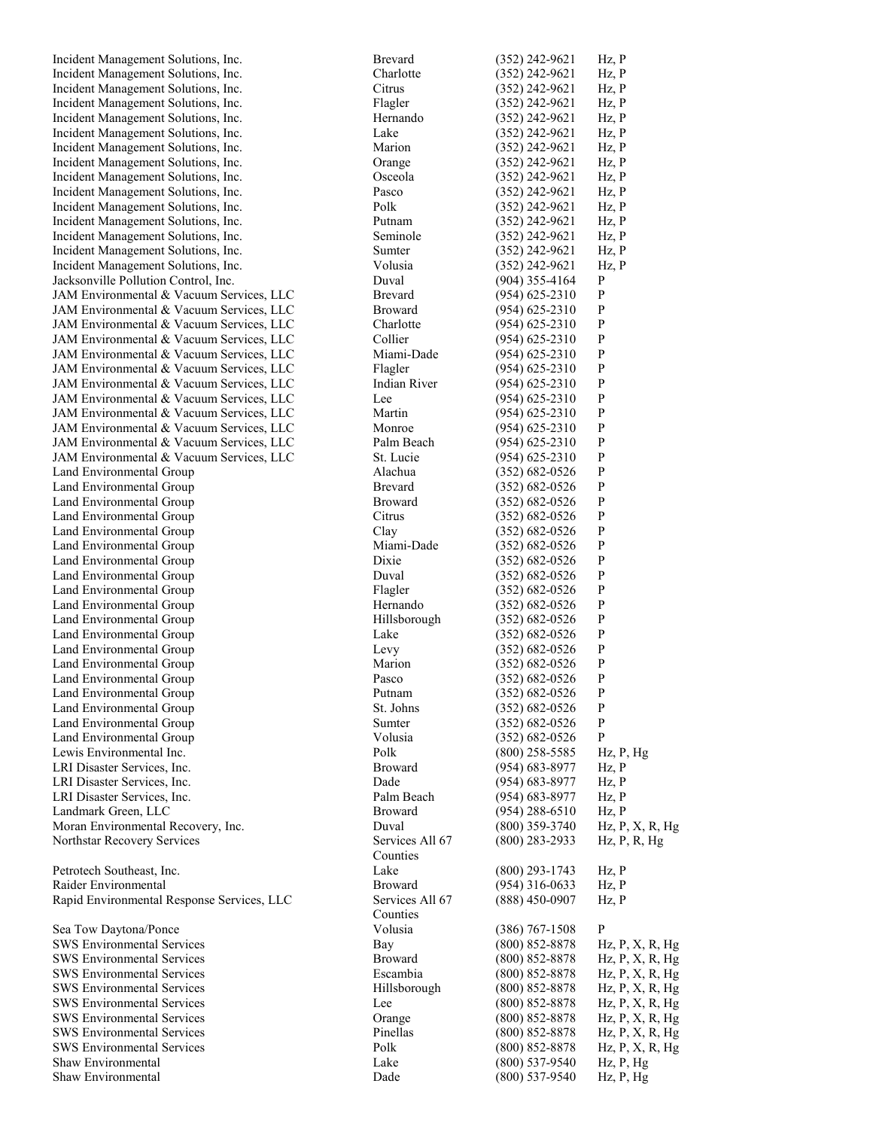| Incident Management Solutions, Inc.        | <b>Brevard</b>  | $(352)$ 242-9621   | $Hz$ , $P$                    |
|--------------------------------------------|-----------------|--------------------|-------------------------------|
| Incident Management Solutions, Inc.        | Charlotte       | $(352)$ 242-9621   | Hz, P                         |
| Incident Management Solutions, Inc.        | Citrus          | $(352)$ 242-9621   | Hz, P                         |
| Incident Management Solutions, Inc.        |                 | $(352)$ 242-9621   | Hz, P                         |
|                                            | Flagler         |                    |                               |
| Incident Management Solutions, Inc.        | Hernando        | $(352)$ 242-9621   | Hz, P                         |
| Incident Management Solutions, Inc.        | Lake            | $(352)$ 242-9621   | Hz, P                         |
| Incident Management Solutions, Inc.        | Marion          | $(352)$ 242-9621   | Hz, P                         |
| Incident Management Solutions, Inc.        | Orange          | $(352)$ 242-9621   | $Hz$ , $P$                    |
| Incident Management Solutions, Inc.        | Osceola         | $(352)$ 242-9621   | Hz, P                         |
|                                            |                 |                    |                               |
| Incident Management Solutions, Inc.        | Pasco           | $(352)$ 242-9621   | Hz, P                         |
| Incident Management Solutions, Inc.        | Polk            | $(352)$ 242-9621   | Hz, P                         |
| Incident Management Solutions, Inc.        | Putnam          | $(352)$ 242-9621   | Hz, P                         |
| Incident Management Solutions, Inc.        | Seminole        | $(352)$ 242-9621   | $Hz$ , $P$                    |
| Incident Management Solutions, Inc.        | Sumter          | $(352)$ 242-9621   | Hz, P                         |
| Incident Management Solutions, Inc.        | Volusia         | $(352)$ 242-9621   | Hz, P                         |
|                                            |                 |                    |                               |
| Jacksonville Pollution Control, Inc.       | Duval           | $(904)$ 355-4164   | P                             |
| JAM Environmental & Vacuum Services, LLC   | <b>Brevard</b>  | $(954)$ 625-2310   | $\mathbf P$                   |
| JAM Environmental & Vacuum Services, LLC   | <b>Broward</b>  | $(954) 625 - 2310$ | $\mathbf{P}$                  |
| JAM Environmental & Vacuum Services, LLC   | Charlotte       | $(954)$ 625-2310   | $\mathbf{P}$                  |
| JAM Environmental & Vacuum Services, LLC   | Collier         | $(954)$ 625-2310   | P                             |
| JAM Environmental & Vacuum Services, LLC   | Miami-Dade      | $(954)$ 625-2310   | $\mathbf{P}$                  |
|                                            |                 |                    |                               |
| JAM Environmental & Vacuum Services, LLC   | Flagler         | $(954)$ 625-2310   | $\mathbf{P}$                  |
| JAM Environmental & Vacuum Services, LLC   | Indian River    | $(954)$ 625-2310   | P                             |
| JAM Environmental & Vacuum Services, LLC   | Lee             | $(954)$ 625-2310   | P                             |
| JAM Environmental & Vacuum Services, LLC   | Martin          | $(954) 625 - 2310$ | $\mathbf{P}$                  |
| JAM Environmental & Vacuum Services, LLC   | Monroe          | $(954)$ 625-2310   | $\mathbf{P}$                  |
| JAM Environmental & Vacuum Services, LLC   | Palm Beach      |                    | P                             |
|                                            |                 | $(954)$ 625-2310   |                               |
| JAM Environmental & Vacuum Services, LLC   | St. Lucie       | $(954) 625 - 2310$ | P                             |
| Land Environmental Group                   | Alachua         | $(352) 682 - 0526$ | $\mathbf{P}$                  |
| Land Environmental Group                   | <b>Brevard</b>  | $(352) 682 - 0526$ | $\mathbf{P}$                  |
| Land Environmental Group                   | <b>Broward</b>  | $(352) 682 - 0526$ | P                             |
| Land Environmental Group                   | Citrus          | $(352) 682 - 0526$ | $\mathbf{P}$                  |
|                                            |                 | $(352) 682 - 0526$ | $\mathbf{P}$                  |
| Land Environmental Group                   | Clay            |                    |                               |
| Land Environmental Group                   | Miami-Dade      | $(352)$ 682-0526   | P                             |
| Land Environmental Group                   | Dixie           | $(352) 682 - 0526$ | P                             |
| Land Environmental Group                   | Duval           | $(352) 682 - 0526$ | P                             |
| Land Environmental Group                   | Flagler         | $(352) 682 - 0526$ | $\mathbf{P}$                  |
| Land Environmental Group                   | Hernando        | $(352) 682 - 0526$ | P                             |
| Land Environmental Group                   |                 |                    | $\mathbf{P}$                  |
|                                            | Hillsborough    | $(352)$ 682-0526   |                               |
| Land Environmental Group                   | Lake            | $(352) 682 - 0526$ | $\mathbf P$                   |
| Land Environmental Group                   | Levy            | $(352) 682 - 0526$ | P                             |
| Land Environmental Group                   | Marion          | $(352)$ 682-0526   | P                             |
| Land Environmental Group                   | Pasco           | $(352) 682 - 0526$ | P                             |
| Land Environmental Group                   | Putnam          | $(352) 682 - 0526$ | P                             |
|                                            |                 |                    |                               |
| Land Environmental Group                   | St. Johns       | $(352) 682 - 0526$ | P                             |
| Land Environmental Group                   | Sumter          | $(352) 682 - 0526$ | $\mathbf{P}$                  |
| Land Environmental Group                   | Volusia         | $(352) 682 - 0526$ | ${\bf P}$                     |
| Lewis Environmental Inc.                   | Polk            | $(800)$ 258-5585   | $Hz$ , $P$ , $Hg$             |
| LRI Disaster Services, Inc.                | <b>Broward</b>  | $(954) 683 - 8977$ | Hz, P                         |
| LRI Disaster Services, Inc.                | Dade            | $(954) 683 - 8977$ | Hz, P                         |
| LRI Disaster Services, Inc.                | Palm Beach      | $(954) 683 - 8977$ | Hz, P                         |
|                                            |                 |                    |                               |
| Landmark Green, LLC                        | <b>Broward</b>  | $(954)$ 288-6510   | Hz, P                         |
| Moran Environmental Recovery, Inc.         | Duval           | $(800)$ 359-3740   | $Hz$ , $P$ , $X$ , $R$ , $Hg$ |
| Northstar Recovery Services                | Services All 67 | $(800)$ 283-2933   | $Hz$ , P, R, Hg               |
|                                            | Counties        |                    |                               |
| Petrotech Southeast, Inc.                  | Lake            | $(800)$ 293-1743   | $Hz$ , $P$                    |
| Raider Environmental                       | <b>Broward</b>  | $(954)$ 316-0633   | Hz, P                         |
|                                            |                 |                    |                               |
| Rapid Environmental Response Services, LLC | Services All 67 | $(888)$ 450-0907   | Hz, P                         |
|                                            | Counties        |                    |                               |
| Sea Tow Daytona/Ponce                      | Volusia         | $(386)$ 767-1508   | $\mathbf{P}$                  |
| <b>SWS Environmental Services</b>          | Bay             | $(800)$ 852-8878   | $Hz$ , $P$ , $X$ , $R$ , $Hg$ |
| <b>SWS Environmental Services</b>          | <b>Broward</b>  | $(800) 852 - 8878$ | Hz, P, X, R, Hg               |
| <b>SWS Environmental Services</b>          | Escambia        | $(800)$ 852-8878   | $Hz$ , $P$ , $X$ , $R$ , $Hg$ |
|                                            |                 |                    |                               |
| <b>SWS Environmental Services</b>          | Hillsborough    | $(800)$ 852-8878   | $Hz$ , $P$ , $X$ , $R$ , $Hg$ |
| <b>SWS Environmental Services</b>          | Lee             | $(800)$ 852-8878   | $Hz$ , $P$ , $X$ , $R$ , $Hg$ |
| <b>SWS Environmental Services</b>          | Orange          | $(800)$ 852-8878   | $Hz$ , $P$ , $X$ , $R$ , $Hg$ |
| <b>SWS Environmental Services</b>          | Pinellas        | $(800)$ 852-8878   | $Hz$ , $P$ , $X$ , $R$ , $Hg$ |
| <b>SWS Environmental Services</b>          | Polk            | $(800) 852 - 8878$ | $Hz$ , $P$ , $X$ , $R$ , $Hg$ |
| Shaw Environmental                         | Lake            |                    |                               |
|                                            |                 | $(800)$ 537-9540   | Hz, P, Hg                     |
| Shaw Environmental                         | Dade            | $(800)$ 537-9540   | Hz, P, Hg                     |